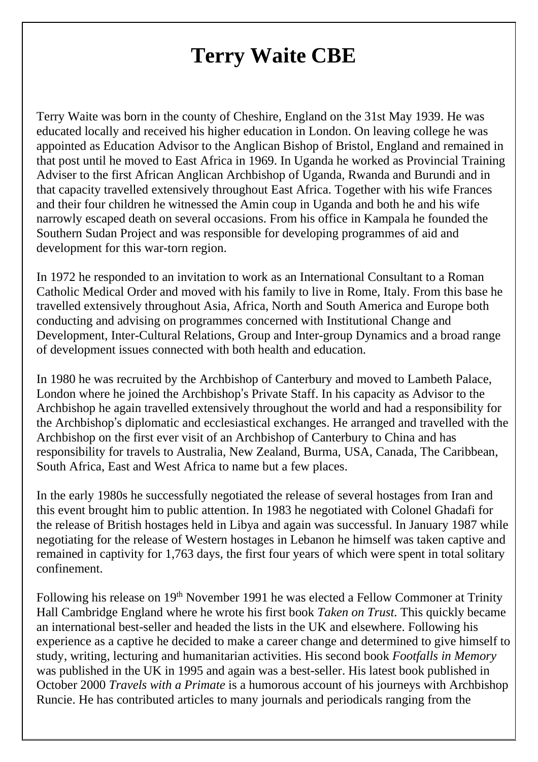## **Terry Waite CBE**

Terry Waite was born in the county of Cheshire, England on the 31st May 1939. He was educated locally and received his higher education in London. On leaving college he was appointed as Education Advisor to the Anglican Bishop of Bristol, England and remained in that post until he moved to East Africa in 1969. In Uganda he worked as Provincial Training Adviser to the first African Anglican Archbishop of Uganda, Rwanda and Burundi and in that capacity travelled extensively throughout East Africa. Together with his wife Frances and their four children he witnessed the Amin coup in Uganda and both he and his wife narrowly escaped death on several occasions. From his office in Kampala he founded the Southern Sudan Project and was responsible for developing programmes of aid and development for this war-torn region.

In 1972 he responded to an invitation to work as an International Consultant to a Roman Catholic Medical Order and moved with his family to live in Rome, Italy. From this base he travelled extensively throughout Asia, Africa, North and South America and Europe both conducting and advising on programmes concerned with Institutional Change and Development, Inter-Cultural Relations, Group and Inter-group Dynamics and a broad range of development issues connected with both health and education.

In 1980 he was recruited by the Archbishop of Canterbury and moved to Lambeth Palace, London where he joined the Archbishop's Private Staff. In his capacity as Advisor to the Archbishop he again travelled extensively throughout the world and had a responsibility for the Archbishop's diplomatic and ecclesiastical exchanges. He arranged and travelled with the Archbishop on the first ever visit of an Archbishop of Canterbury to China and has responsibility for travels to Australia, New Zealand, Burma, USA, Canada, The Caribbean, South Africa, East and West Africa to name but a few places.

In the early 1980s he successfully negotiated the release of several hostages from Iran and this event brought him to public attention. In 1983 he negotiated with Colonel Ghadafi for the release of British hostages held in Libya and again was successful. In January 1987 while negotiating for the release of Western hostages in Lebanon he himself was taken captive and remained in captivity for 1,763 days, the first four years of which were spent in total solitary confinement.

Following his release on 19<sup>th</sup> November 1991 he was elected a Fellow Commoner at Trinity Hall Cambridge England where he wrote his first book *Taken on Trust.* This quickly became an international best-seller and headed the lists in the UK and elsewhere. Following his experience as a captive he decided to make a career change and determined to give himself to study, writing, lecturing and humanitarian activities. His second book *Footfalls in Memory* was published in the UK in 1995 and again was a best-seller. His latest book published in October 2000 *Travels with a Primate* is a humorous account of his journeys with Archbishop Runcie. He has contributed articles to many journals and periodicals ranging from the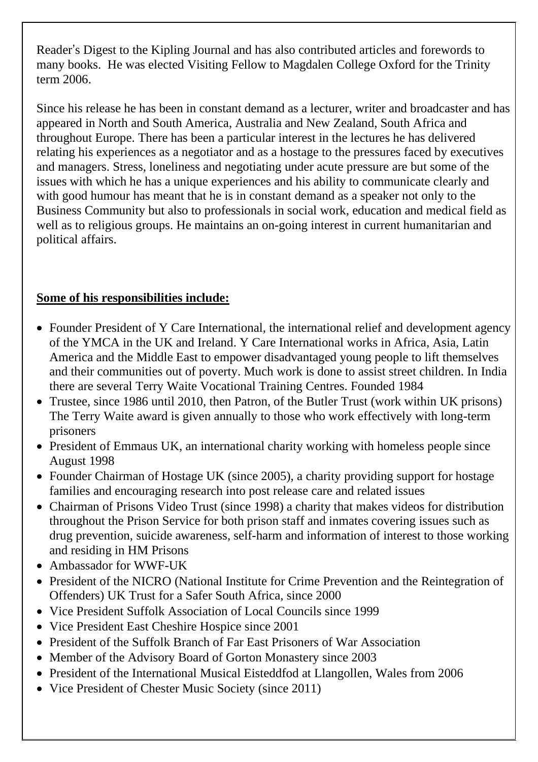Reader's Digest to the Kipling Journal and has also contributed articles and forewords to many books. He was elected Visiting Fellow to Magdalen College Oxford for the Trinity term 2006.

Since his release he has been in constant demand as a lecturer, writer and broadcaster and has appeared in North and South America, Australia and New Zealand, South Africa and throughout Europe. There has been a particular interest in the lectures he has delivered relating his experiences as a negotiator and as a hostage to the pressures faced by executives and managers. Stress, loneliness and negotiating under acute pressure are but some of the issues with which he has a unique experiences and his ability to communicate clearly and with good humour has meant that he is in constant demand as a speaker not only to the Business Community but also to professionals in social work, education and medical field as well as to religious groups. He maintains an on-going interest in current humanitarian and political affairs.

## **Some of his responsibilities include:**

- Founder President of Y Care International, the international relief and development agency of the YMCA in the UK and Ireland. Y Care International works in Africa, Asia, Latin America and the Middle East to empower disadvantaged young people to lift themselves and their communities out of poverty. Much work is done to assist street children. In India there are several Terry Waite Vocational Training Centres. Founded 1984
- Trustee, since 1986 until 2010, then Patron, of the Butler Trust (work within UK prisons) The Terry Waite award is given annually to those who work effectively with long-term prisoners
- President of Emmaus UK, an international charity working with homeless people since August 1998
- Founder Chairman of Hostage UK (since 2005), a charity providing support for hostage families and encouraging research into post release care and related issues
- Chairman of Prisons Video Trust (since 1998) a charity that makes videos for distribution throughout the Prison Service for both prison staff and inmates covering issues such as drug prevention, suicide awareness, self-harm and information of interest to those working and residing in HM Prisons
- Ambassador for WWF-UK
- President of the NICRO (National Institute for Crime Prevention and the Reintegration of Offenders) UK Trust for a Safer South Africa, since 2000
- Vice President Suffolk Association of Local Councils since 1999
- Vice President East Cheshire Hospice since 2001
- President of the Suffolk Branch of Far East Prisoners of War Association
- Member of the Advisory Board of Gorton Monastery since 2003
- President of the International Musical Eisteddfod at Llangollen, Wales from 2006
- Vice President of Chester Music Society (since 2011)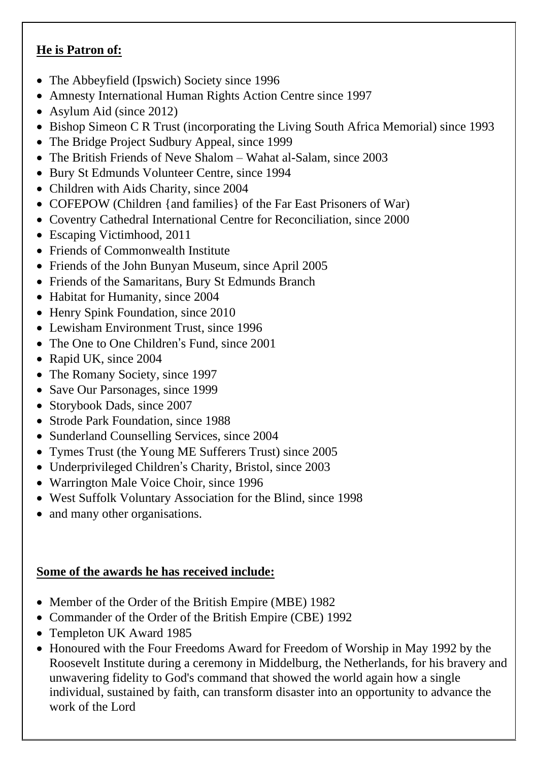## **He is Patron of:**

- The Abbeyfield (Ipswich) Society since 1996
- Amnesty International Human Rights Action Centre since 1997
- Asylum Aid (since 2012)
- Bishop Simeon C R Trust (incorporating the Living South Africa Memorial) since 1993
- The Bridge Project Sudbury Appeal, since 1999
- The British Friends of Neve Shalom Wahat al-Salam, since 2003
- Bury St Edmunds Volunteer Centre, since 1994
- Children with Aids Charity, since 2004
- COFEPOW (Children {and families} of the Far East Prisoners of War)
- Coventry Cathedral International Centre for Reconciliation, since 2000
- Escaping Victimhood, 2011
- Friends of Commonwealth Institute
- Friends of the John Bunyan Museum, since April 2005
- Friends of the Samaritans, Bury St Edmunds Branch
- Habitat for Humanity, since 2004
- Henry Spink Foundation, since 2010
- Lewisham Environment Trust, since 1996
- The One to One Children's Fund, since 2001
- Rapid UK, since 2004
- The Romany Society, since 1997
- Save Our Parsonages, since 1999
- Storybook Dads, since 2007
- Strode Park Foundation, since 1988
- Sunderland Counselling Services, since 2004
- Tymes Trust (the Young ME Sufferers Trust) since 2005
- Underprivileged Children's Charity, Bristol, since 2003
- Warrington Male Voice Choir, since 1996
- West Suffolk Voluntary Association for the Blind, since 1998
- and many other organisations.

## **Some of the awards he has received include:**

- Member of the Order of the British Empire (MBE) 1982
- Commander of the Order of the British Empire (CBE) 1992
- Templeton UK Award 1985
- Honoured with the Four Freedoms Award for Freedom of Worship in May 1992 by the Roosevelt Institute during a ceremony in Middelburg, the Netherlands, for his bravery and unwavering fidelity to God's command that showed the world again how a single individual, sustained by faith, can transform disaster into an opportunity to advance the work of the Lord